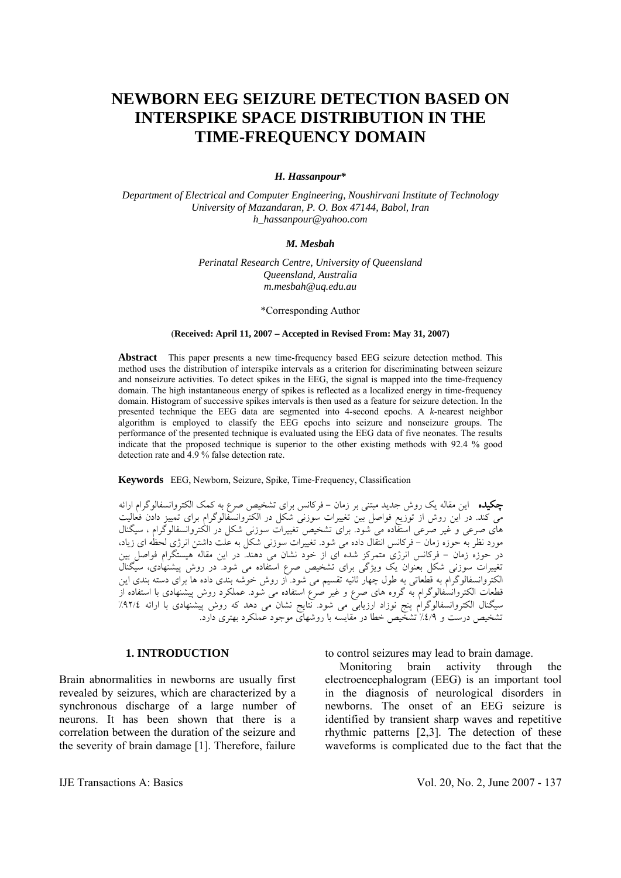# **NEWBORN EEG SEIZURE DETECTION BASED ON INTERSPIKE SPACE DISTRIBUTION IN THE TIME-FREQUENCY DOMAIN**

## *H. Hassanpour\**

*Department of Electrical and Computer Engineering, Noushirvani Institute of Technology University of Mazandaran, P. O. Box 47144, Babol, Iran h\_hassanpour@yahoo.com* 

#### *M. Mesbah*

*Perinatal Research Centre, University of Queensland Queensland, Australia m.mesbah@uq.edu.au*

\*Corresponding Author

#### (**Received: April 11, 2007 – Accepted in Revised From: May 31, 2007)**

**Abstract** This paper presents a new time-frequency based EEG seizure detection method. This method uses the distribution of interspike intervals as a criterion for discriminating between seizure and nonseizure activities. To detect spikes in the EEG, the signal is mapped into the time-frequency domain. The high instantaneous energy of spikes is reflected as a localized energy in time-frequency domain. Histogram of successive spikes intervals is then used as a feature for seizure detection. In the presented technique the EEG data are segmented into 4-second epochs. A *k*-nearest neighbor algorithm is employed to classify the EEG epochs into seizure and nonseizure groups. The performance of the presented technique is evaluated using the EEG data of five neonates. The results indicate that the proposed technique is superior to the other existing methods with 92.4 % good detection rate and 4.9 % false detection rate.

**Keywords** EEG, Newborn, Seizure, Spike, Time-Frequency, Classification

چكيده اين مقاله يک روش جديد مبتنی بر زمان - فرکانس برای تشخيص صرع به کمک الکتروانسفالوگرام ارائه می کند. در اين روش از توزيع فواصل بين تغييرات سوزنی شکل در الکتروانسفالوگرام برای تمييز دادن فعاليت های صرعی و غير صرعی استفاده می شود. برای تشخيص تغييرات سوزنی شکل در الکتروانسفالوگرام ، سيگنال مورد نظر به حوزه زمان - فرکانس انتقال داده می شود. تغييرات سوزنی شکل به علت داشتن انرژی لحظه ای زياد، در حوزه زمان - فرکانس انرژی متمرکز شده ای از خود نشان می دهند. در اين مقاله هيستگرام فواصل بين تغييرات سوزنی شکل بعنوان يک ويژگی برای تشخيص صرع استفاده می شود. در روش پيشنهادی، سيگنال الکتروانسفالوگرام به قطعاتی به طول چهار ثانيه تقسيم می شود. از روش خوشه بندي داده ها برای دسته بندی اين قطعات الکتروانسفالوگرام به گروه های صرع و غير صرع استفاده می شود. عملکرد روش پيشنهادی با استفاده از سيگنال الکتروانسفالوگرام پنج نوزاد ارزيابی می شود. نتايج نشان می دهد که روش پيشنهادی با ارائه %٩٢/٤ تشخيص درست و %٤/٩ تشخيص خطا در مقايسه با روشهای موجود عملکرد بهتری دارد.

#### **1. INTRODUCTION**

Brain abnormalities in newborns are usually first revealed by seizures, which are characterized by a synchronous discharge of a large number of neurons. It has been shown that there is a correlation between the duration of the seizure and the severity of brain damage [1]. Therefore, failure to control seizures may lead to brain damage.

 Monitoring brain activity through the electroencephalogram (EEG) is an important tool in the diagnosis of neurological disorders in newborns. The onset of an EEG seizure is identified by transient sharp waves and repetitive rhythmic patterns [2,3]. The detection of these waveforms is complicated due to the fact that the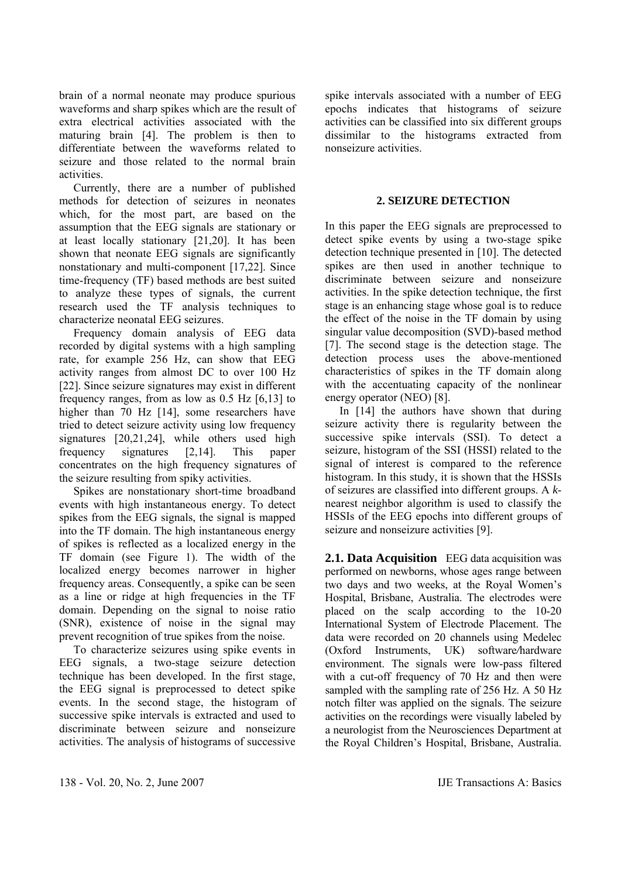brain of a normal neonate may produce spurious waveforms and sharp spikes which are the result of extra electrical activities associated with the maturing brain [4]. The problem is then to differentiate between the waveforms related to seizure and those related to the normal brain activities.

 Currently, there are a number of published methods for detection of seizures in neonates which, for the most part, are based on the assumption that the EEG signals are stationary or at least locally stationary [21,20]. It has been shown that neonate EEG signals are significantly nonstationary and multi-component [17,22]. Since time-frequency (TF) based methods are best suited to analyze these types of signals, the current research used the TF analysis techniques to characterize neonatal EEG seizures.

 Frequency domain analysis of EEG data recorded by digital systems with a high sampling rate, for example 256 Hz, can show that EEG activity ranges from almost DC to over 100 Hz [22]. Since seizure signatures may exist in different frequency ranges, from as low as 0.5 Hz [6,13] to higher than 70 Hz [14], some researchers have tried to detect seizure activity using low frequency signatures [20,21,24], while others used high frequency signatures [2,14]. This paper concentrates on the high frequency signatures of the seizure resulting from spiky activities.

 Spikes are nonstationary short-time broadband events with high instantaneous energy. To detect spikes from the EEG signals, the signal is mapped into the TF domain. The high instantaneous energy of spikes is reflected as a localized energy in the TF domain (see Figure 1). The width of the localized energy becomes narrower in higher frequency areas. Consequently, a spike can be seen as a line or ridge at high frequencies in the TF domain. Depending on the signal to noise ratio (SNR), existence of noise in the signal may prevent recognition of true spikes from the noise.

 To characterize seizures using spike events in EEG signals, a two-stage seizure detection technique has been developed. In the first stage, the EEG signal is preprocessed to detect spike events. In the second stage, the histogram of successive spike intervals is extracted and used to discriminate between seizure and nonseizure activities. The analysis of histograms of successive spike intervals associated with a number of EEG epochs indicates that histograms of seizure activities can be classified into six different groups dissimilar to the histograms extracted from nonseizure activities.

# **2. SEIZURE DETECTION**

In this paper the EEG signals are preprocessed to detect spike events by using a two-stage spike detection technique presented in [10]. The detected spikes are then used in another technique to discriminate between seizure and nonseizure activities. In the spike detection technique, the first stage is an enhancing stage whose goal is to reduce the effect of the noise in the TF domain by using singular value decomposition (SVD)-based method [7]. The second stage is the detection stage. The detection process uses the above-mentioned characteristics of spikes in the TF domain along with the accentuating capacity of the nonlinear energy operator (NEO) [8].

 In [14] the authors have shown that during seizure activity there is regularity between the successive spike intervals (SSI). To detect a seizure, histogram of the SSI (HSSI) related to the signal of interest is compared to the reference histogram. In this study, it is shown that the HSSIs of seizures are classified into different groups. A *k*nearest neighbor algorithm is used to classify the HSSIs of the EEG epochs into different groups of seizure and nonseizure activities [9].

**2.1. Data Acquisition** EEG data acquisition was performed on newborns, whose ages range between two days and two weeks, at the Royal Women's Hospital, Brisbane, Australia. The electrodes were placed on the scalp according to the 10-20 International System of Electrode Placement. The data were recorded on 20 channels using Medelec (Oxford Instruments, UK) software*/*hardware environment. The signals were low-pass filtered with a cut-off frequency of 70 Hz and then were sampled with the sampling rate of 256 Hz. A 50 Hz notch filter was applied on the signals. The seizure activities on the recordings were visually labeled by a neurologist from the Neurosciences Department at the Royal Children's Hospital, Brisbane, Australia.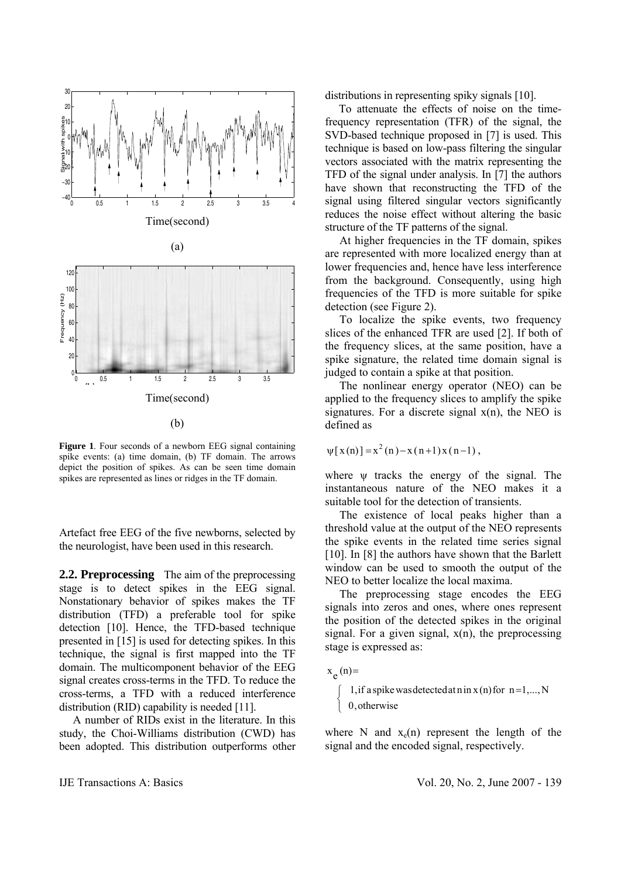

**Figure 1**. Four seconds of a newborn EEG signal containing spike events: (a) time domain, (b) TF domain. The arrows depict the position of spikes. As can be seen time domain spikes are represented as lines or ridges in the TF domain.

Artefact free EEG of the five newborns, selected by the neurologist, have been used in this research.

**2.2. Preprocessing** The aim of the preprocessing stage is to detect spikes in the EEG signal. Nonstationary behavior of spikes makes the TF distribution (TFD) a preferable tool for spike detection [10]. Hence, the TFD-based technique presented in [15] is used for detecting spikes. In this technique, the signal is first mapped into the TF domain. The multicomponent behavior of the EEG signal creates cross-terms in the TFD. To reduce the cross-terms, a TFD with a reduced interference distribution (RID) capability is needed [11].

 A number of RIDs exist in the literature. In this study, the Choi-Williams distribution (CWD) has been adopted. This distribution outperforms other distributions in representing spiky signals [10].

 To attenuate the effects of noise on the timefrequency representation (TFR) of the signal, the SVD-based technique proposed in [7] is used. This technique is based on low-pass filtering the singular vectors associated with the matrix representing the TFD of the signal under analysis. In [7] the authors have shown that reconstructing the TFD of the signal using filtered singular vectors significantly reduces the noise effect without altering the basic structure of the TF patterns of the signal.

 At higher frequencies in the TF domain, spikes are represented with more localized energy than at lower frequencies and, hence have less interference from the background. Consequently, using high frequencies of the TFD is more suitable for spike detection (see Figure 2).

 To localize the spike events, two frequency slices of the enhanced TFR are used [2]. If both of the frequency slices, at the same position, have a spike signature, the related time domain signal is judged to contain a spike at that position.

 The nonlinear energy operator (NEO) can be applied to the frequency slices to amplify the spike signatures. For a discrete signal  $x(n)$ , the NEO is defined as

$$
\psi[x(n)] = x^2(n) - x(n+1)x(n-1)
$$
,

where w tracks the energy of the signal. The instantaneous nature of the NEO makes it a suitable tool for the detection of transients.

 The existence of local peaks higher than a threshold value at the output of the NEO represents the spike events in the related time series signal [10]. In [8] the authors have shown that the Barlett window can be used to smooth the output of the NEO to better localize the local maxima.

 The preprocessing stage encodes the EEG signals into zeros and ones, where ones represent the position of the detected spikes in the original signal. For a given signal,  $x(n)$ , the preprocessing stage is expressed as:

```
\overline{\mathcal{L}}⎨
\begin{bmatrix} 1, & \text{if a spike was detected at } n \text{ in } x \text{ (n) for } n = 1, \dots, N \end{bmatrix}x_e(n)=
     0,otherwise
```
where N and  $x_e(n)$  represent the length of the signal and the encoded signal, respectively.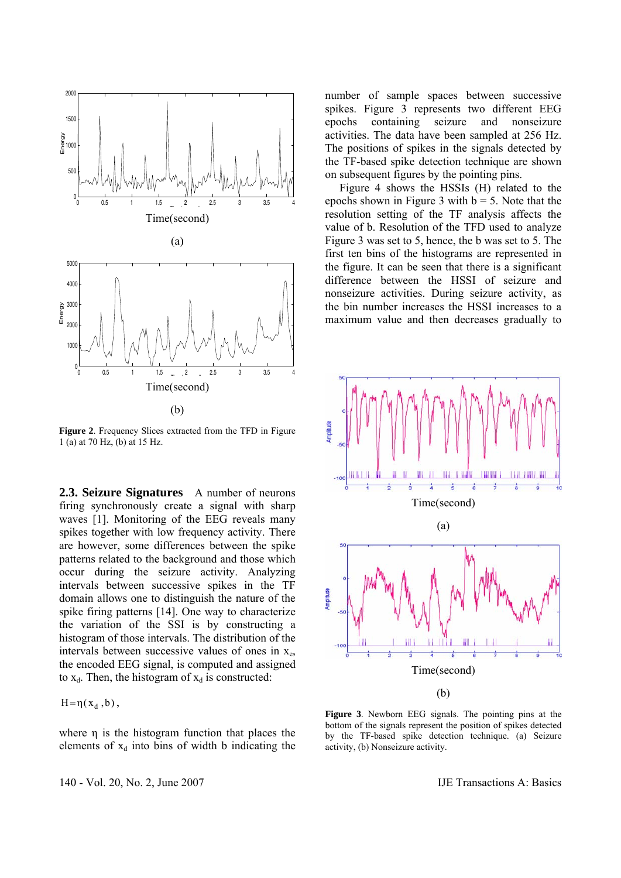

**Figure 2.** Frequency Slices extracted from the TFD in Figure 1 (a) at 70 Hz, (b) at 15 Hz.

**2.3. Seizure Signatures** A number of neurons firing synchronously create a signal with sharp waves [1]. Monitoring of the EEG reveals many spikes together with low frequency activity. There are however, some differences between the spike patterns related to the background and those which occur during the seizure activity. Analyzing intervals between successive spikes in the TF domain allows one to distinguish the nature of the spike firing patterns [14]. One way to characterize the variation of the SSI is by constructing a histogram of those intervals. The distribution of the intervals between successive values of ones in  $x_e$ , the encoded EEG signal, is computed and assigned to  $x_d$ . Then, the histogram of  $x_d$  is constructed:

 $H = \eta(x_d, b)$ ,

where η is the histogram function that places the elements of  $x_d$  into bins of width b indicating the

140 - Vol. 20, No. 2, June 2007 IJE Transactions A: Basics

number of sample spaces between successive spikes. Figure 3 represents two different EEG epochs containing seizure and nonseizure activities. The data have been sampled at 256 Hz. The positions of spikes in the signals detected by the TF-based spike detection technique are shown on subsequent figures by the pointing pins.

 Figure 4 shows the HSSIs (H) related to the epochs shown in Figure 3 with  $b = 5$ . Note that the resolution setting of the TF analysis affects the value of b. Resolution of the TFD used to analyze Figure 3 was set to 5, hence, the b was set to 5. The first ten bins of the histograms are represented in the figure. It can be seen that there is a significant difference between the HSSI of seizure and nonseizure activities. During seizure activity, as the bin number increases the HSSI increases to a maximum value and then decreases gradually to



**Figure 3**. Newborn EEG signals. The pointing pins at the bottom of the signals represent the position of spikes detected by the TF-based spike detection technique. (a) Seizure activity, (b) Nonseizure activity.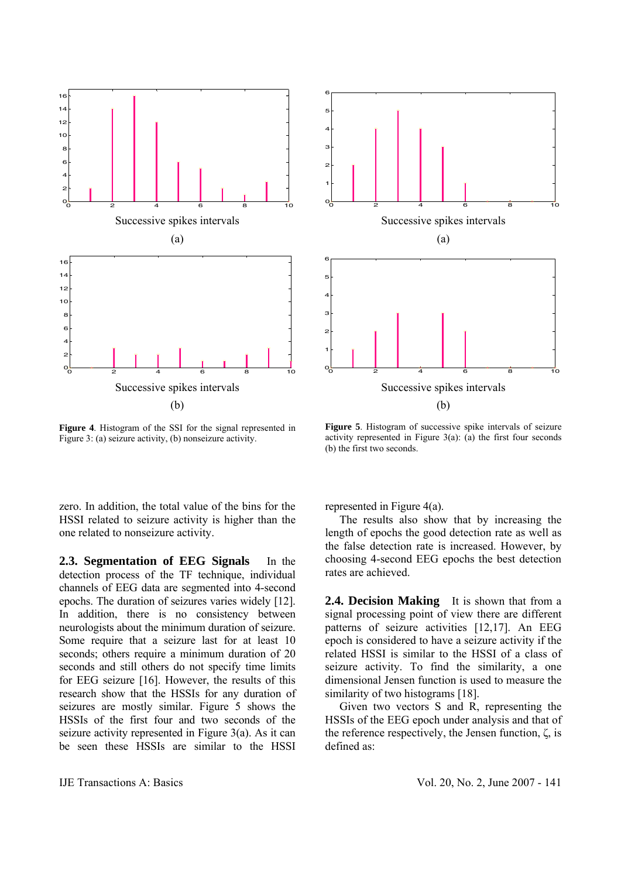



**Figure 4**. Histogram of the SSI for the signal represented in Figure 3: (a) seizure activity, (b) nonseizure activity.

**Figure 5**. Histogram of successive spike intervals of seizure activity represented in Figure  $3(a)$ : (a) the first four seconds (b) the first two seconds.

zero. In addition, the total value of the bins for the HSSI related to seizure activity is higher than the one related to nonseizure activity.

**2.3. Segmentation of EEG Signals** In the detection process of the TF technique, individual channels of EEG data are segmented into 4-second epochs. The duration of seizures varies widely [12]. In addition, there is no consistency between neurologists about the minimum duration of seizure. Some require that a seizure last for at least 10 seconds; others require a minimum duration of 20 seconds and still others do not specify time limits for EEG seizure [16]. However, the results of this research show that the HSSIs for any duration of seizures are mostly similar. Figure 5 shows the HSSIs of the first four and two seconds of the seizure activity represented in Figure 3(a). As it can be seen these HSSIs are similar to the HSSI represented in Figure 4(a).

 The results also show that by increasing the length of epochs the good detection rate as well as the false detection rate is increased. However, by choosing 4-second EEG epochs the best detection rates are achieved.

**2.4. Decision Making** It is shown that from a signal processing point of view there are different patterns of seizure activities [12,17]. An EEG epoch is considered to have a seizure activity if the related HSSI is similar to the HSSI of a class of seizure activity. To find the similarity, a one dimensional Jensen function is used to measure the similarity of two histograms [18].

 Given two vectors S and R, representing the HSSIs of the EEG epoch under analysis and that of the reference respectively, the Jensen function, ζ, is defined as: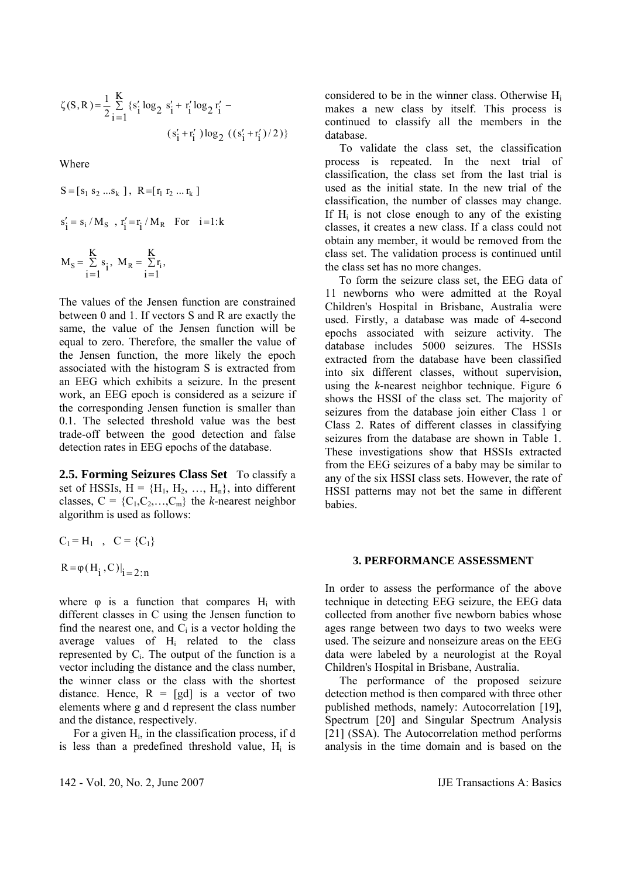$$
\zeta(S,R) = \frac{1}{2} \sum_{i=1}^{K} \{s'_i \log_2 s'_i + r'_i \log_2 r'_i - (s'_i + r'_i) \log_2 ((s'_i + r'_i) / 2) \}
$$

Where

$$
S = [s_1 \ s_2 \ ...s_k], R = [r_1 \ r_2 \ ... \ r_k]
$$
  
\n
$$
s'_i = s_i / M_S, r'_i = r_i / M_R \text{ For } i = 1:k
$$
  
\n
$$
M_S = \sum_{i=1}^{K} s_i, M_R = \sum_{i=1}^{K} r_i,
$$

The values of the Jensen function are constrained between 0 and 1. If vectors S and R are exactly the same, the value of the Jensen function will be equal to zero. Therefore, the smaller the value of the Jensen function, the more likely the epoch associated with the histogram S is extracted from an EEG which exhibits a seizure. In the present work, an EEG epoch is considered as a seizure if the corresponding Jensen function is smaller than 0.1. The selected threshold value was the best trade-off between the good detection and false detection rates in EEG epochs of the database.

**2.5. Forming Seizures Class Set** To classify a set of HSSIs,  $H = {H_1, H_2, ..., H_n}$ , into different classes,  $C = \{C_1, C_2, \ldots, C_m\}$  the *k*-nearest neighbor algorithm is used as follows:

$$
C_1 = H_1
$$
,  $C = {C_1}$ 

 $R = \varphi(H_i, C)|_{i = 2:n}$ 

where  $\varphi$  is a function that compares H<sub>i</sub> with different classes in C using the Jensen function to find the nearest one, and  $C_i$  is a vector holding the average values of Hi related to the class represented by  $C_i$ . The output of the function is a vector including the distance and the class number, the winner class or the class with the shortest distance. Hence,  $R = [gd]$  is a vector of two elements where g and d represent the class number and the distance, respectively.

For a given  $H<sub>i</sub>$ , in the classification process, if d is less than a predefined threshold value,  $H_i$  is

142 - Vol. 20, No. 2, June 2007 IJE Transactions A: Basics

considered to be in the winner class. Otherwise Hi makes a new class by itself. This process is continued to classify all the members in the database.

 To validate the class set, the classification process is repeated. In the next trial of classification, the class set from the last trial is used as the initial state. In the new trial of the classification, the number of classes may change. If  $H_i$  is not close enough to any of the existing classes, it creates a new class. If a class could not obtain any member, it would be removed from the class set. The validation process is continued until the class set has no more changes.

 To form the seizure class set, the EEG data of 11 newborns who were admitted at the Royal Children's Hospital in Brisbane, Australia were used. Firstly, a database was made of 4-second epochs associated with seizure activity. The database includes 5000 seizures. The HSSIs extracted from the database have been classified into six different classes, without supervision, using the *k-*nearest neighbor technique. Figure 6 shows the HSSI of the class set. The majority of seizures from the database join either Class 1 or Class 2. Rates of different classes in classifying seizures from the database are shown in Table 1. These investigations show that HSSIs extracted from the EEG seizures of a baby may be similar to any of the six HSSI class sets. However, the rate of HSSI patterns may not bet the same in different babies.

## **3. PERFORMANCE ASSESSMENT**

In order to assess the performance of the above technique in detecting EEG seizure, the EEG data collected from another five newborn babies whose ages range between two days to two weeks were used. The seizure and nonseizure areas on the EEG data were labeled by a neurologist at the Royal Children's Hospital in Brisbane, Australia.

 The performance of the proposed seizure detection method is then compared with three other published methods, namely: Autocorrelation [19], Spectrum [20] and Singular Spectrum Analysis [21] (SSA). The Autocorrelation method performs analysis in the time domain and is based on the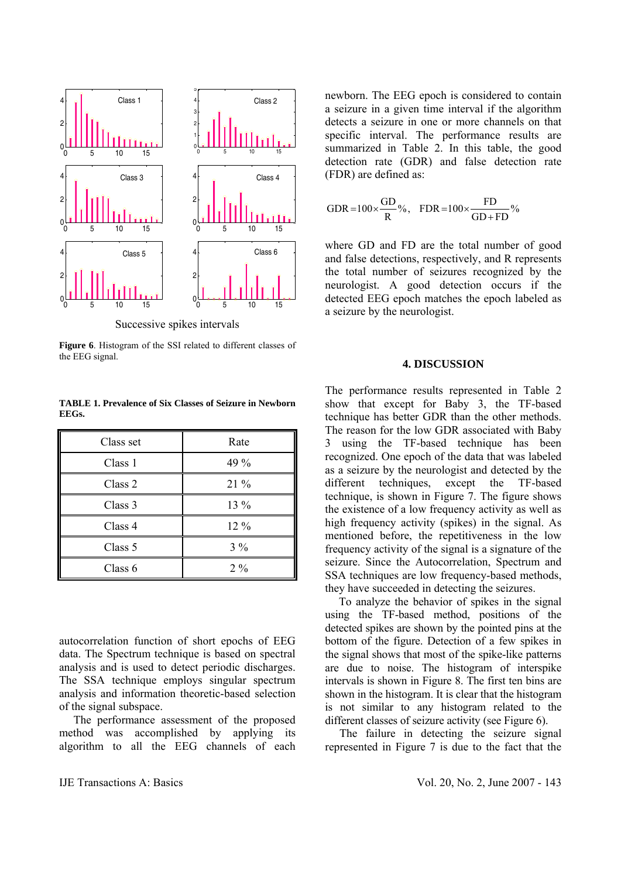

Successive spikes intervals

**Figure 6**. Histogram of the SSI related to different classes of the EEG signal.

| Class set | Rate  |
|-----------|-------|
| Class 1   | 49 %  |
| Class 2   | 21 %  |
| Class 3   | 13 %  |
| Class 4   | 12 %  |
| Class 5   | $3\%$ |
| Class 6   | $2\%$ |

**TABLE 1. Prevalence of Six Classes of Seizure in Newborn EEGs.** 

autocorrelation function of short epochs of EEG data. The Spectrum technique is based on spectral analysis and is used to detect periodic discharges. The SSA technique employs singular spectrum analysis and information theoretic-based selection of the signal subspace.

 The performance assessment of the proposed method was accomplished by applying its algorithm to all the EEG channels of each newborn. The EEG epoch is considered to contain a seizure in a given time interval if the algorithm detects a seizure in one or more channels on that specific interval. The performance results are summarized in Table 2. In this table, the good detection rate (GDR) and false detection rate (FDR) are defined as:

$$
GDR = 100 \times \frac{GD}{R} \% , \quad FDR = 100 \times \frac{FD}{GD + FD} \%
$$

where GD and FD are the total number of good and false detections, respectively, and R represents the total number of seizures recognized by the neurologist. A good detection occurs if the detected EEG epoch matches the epoch labeled as a seizure by the neurologist.

#### **4. DISCUSSION**

The performance results represented in Table 2 show that except for Baby 3, the TF-based technique has better GDR than the other methods. The reason for the low GDR associated with Baby 3 using the TF-based technique has been recognized. One epoch of the data that was labeled as a seizure by the neurologist and detected by the different techniques, except the TF-based technique, is shown in Figure 7. The figure shows the existence of a low frequency activity as well as high frequency activity (spikes) in the signal. As mentioned before, the repetitiveness in the low frequency activity of the signal is a signature of the seizure. Since the Autocorrelation, Spectrum and SSA techniques are low frequency-based methods, they have succeeded in detecting the seizures.

 To analyze the behavior of spikes in the signal using the TF-based method, positions of the detected spikes are shown by the pointed pins at the bottom of the figure. Detection of a few spikes in the signal shows that most of the spike-like patterns are due to noise. The histogram of interspike intervals is shown in Figure 8. The first ten bins are shown in the histogram. It is clear that the histogram is not similar to any histogram related to the different classes of seizure activity (see Figure 6).

 The failure in detecting the seizure signal represented in Figure 7 is due to the fact that the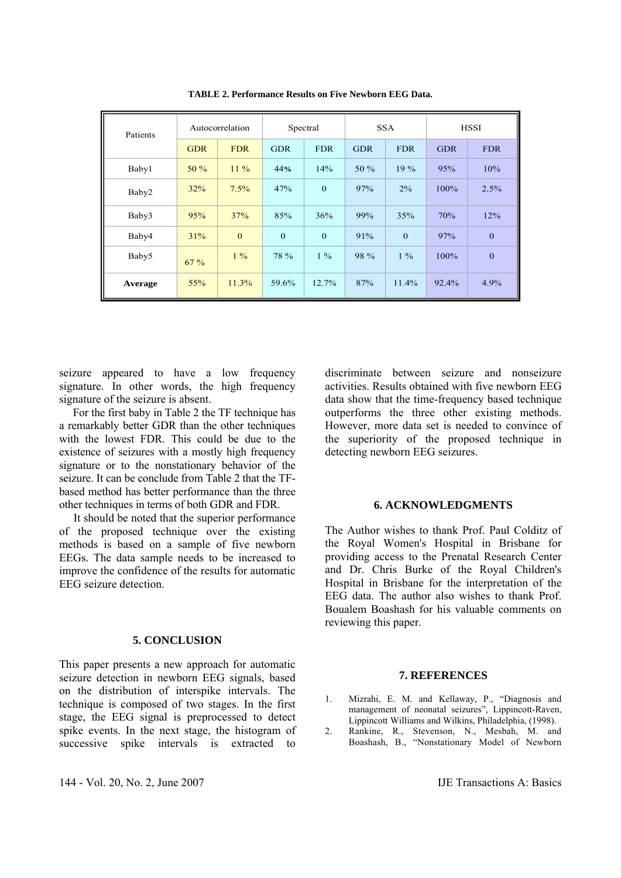| Patients | Autocorrelation |              | Spectral     |              | <b>SSA</b> |              | <b>HSSI</b> |              |
|----------|-----------------|--------------|--------------|--------------|------------|--------------|-------------|--------------|
|          | <b>GDR</b>      | <b>FDR</b>   | <b>GDR</b>   | <b>FDR</b>   | <b>GDR</b> | <b>FDR</b>   | <b>GDR</b>  | <b>FDR</b>   |
| Baby1    | 50%             | $11\%$       | 44%          | 14%          | 50 %       | 19%          | 95%         | 10%          |
| Baby2    | 32%             | 7.5%         | 47%          | $\mathbf{0}$ | 97%        | $2\%$        | 100%        | 2.5%         |
| Baby3    | 95%             | 37%          | 85%          | 36%          | 99%        | 35%          | 70%         | 12%          |
| Baby4    | 31%             | $\mathbf{0}$ | $\mathbf{0}$ | $\mathbf{0}$ | 91%        | $\mathbf{0}$ | 97%         | $\mathbf{0}$ |
| Baby5    | 67%             | $1\%$        | 78 %         | $1\%$        | 98 %       | $1\%$        | 100%        | $\mathbf{0}$ |
| Average  | 55%             | 11.3%        | 59.6%        | 12.7%        | 87%        | $11.4\%$     | 92.4%       | 4.9%         |

**TABLE 2. Performance Results on Five Newborn EEG Data.** 

seizure appeared to have a low frequency signature. In other words, the high frequency signature of the seizure is absent.

 For the first baby in Table 2 the TF technique has a remarkably better GDR than the other techniques with the lowest FDR. This could be due to the existence of seizures with a mostly high frequency signature or to the nonstationary behavior of the seizure. It can be conclude from Table 2 that the TFbased method has better performance than the three other techniques in terms of both GDR and FDR.

 It should be noted that the superior performance of the proposed technique over the existing methods is based on a sample of five newborn EEGs. The data sample needs to be increased to improve the confidence of the results for automatic EEG seizure detection.

## **5. CONCLUSION**

This paper presents a new approach for automatic seizure detection in newborn EEG signals, based on the distribution of interspike intervals. The technique is composed of two stages. In the first stage, the EEG signal is preprocessed to detect spike events. In the next stage, the histogram of successive spike intervals is extracted to

144 - Vol. 20, No. 2, June 2007 IJE Transactions A: Basics

discriminate between seizure and nonseizure activities. Results obtained with five newborn EEG data show that the time-frequency based technique outperforms the three other existing methods. However, more data set is needed to convince of the superiority of the proposed technique in detecting newborn EEG seizures.

#### **6. ACKNOWLEDGMENTS**

The Author wishes to thank Prof. Paul Colditz of the Royal Women's Hospital in Brisbane for providing access to the Prenatal Research Center and Dr. Chris Burke of the Royal Children's Hospital in Brisbane for the interpretation of the EEG data. The author also wishes to thank Prof. Boualem Boashash for his valuable comments on reviewing this paper.

# **7. REFERENCES**

- 1. Mizrahi, E. M. and Kellaway, P., "Diagnosis and management of neonatal seizures", Lippincott-Raven, Lippincott Williams and Wilkins, Philadelphia, (1998).
- 2. Rankine, R., Stevenson, N., Mesbah, M. and Boashash, B., "Nonstationary Model of Newborn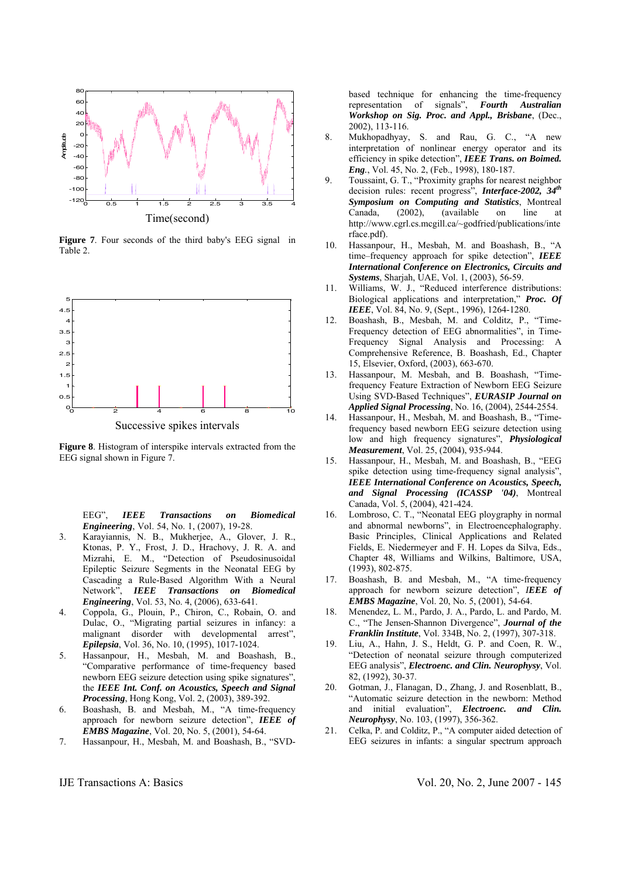

**Figure 7**. Four seconds of the third baby's EEG signal in Table 2.



Successive spikes intervals

**Figure 8**. Histogram of interspike intervals extracted from the EEG signal shown in Figure 7.

EEG", *IEEE Transactions on Biomedical Engineering*, Vol. 54, No. 1, (2007), 19-28.

- 3. Karayiannis, N. B., Mukherjee, A., Glover, J. R., Ktonas, P. Y., Frost, J. D., Hrachovy, J. R. A. and Mizrahi, E. M., "Detection of Pseudosinusoidal Epileptic Seizure Segments in the Neonatal EEG by Cascading a Rule-Based Algorithm With a Neural Network", *IEEE Transactions on Biomedical Engineering*, Vol. 53, No. 4, (2006), 633-641.
- 4. Coppola, G., Plouin, P., Chiron, C., Robain, O. and Dulac, O., "Migrating partial seizures in infancy: a malignant disorder with developmental arrest", *Epilepsia*, Vol. 36, No. 10, (1995), 1017-1024.
- 5. Hassanpour, H., Mesbah, M. and Boashash, B., "Comparative performance of time-frequency based newborn EEG seizure detection using spike signatures", the *IEEE Int. Conf. on Acoustics, Speech and Signal Processing*, Hong Kong, Vol. 2, (2003), 389-392.
- 6. Boashash, B. and Mesbah, M., "A time-frequency approach for newborn seizure detection", *IEEE of EMBS Magazine*, Vol. 20, No. 5, (2001), 54-64.
- 7. Hassanpour, H., Mesbah, M. and Boashash, B., "SVD-

based technique for enhancing the time-frequency representation of signals", *Fourth Australian Workshop on Sig. Proc. and Appl., Brisbane*, (Dec., 2002), 113-116.

- 8. Mukhopadhyay, S. and Rau, G. C., "A new interpretation of nonlinear energy operator and its efficiency in spike detection", *IEEE Trans. on Boimed. Eng.*, Vol. 45, No. 2, (Feb., 1998), 180-187.
- 9. Toussaint, G. T., "Proximity graphs for nearest neighbor decision rules: recent progress", *Interface-2002, 34th Symposium on Computing and Statistics*, Montreal Canada, (2002), (available on line at http://www.cgrl.cs.mcgill.ca/~godfried/publications/inte rface.pdf).
- 10. Hassanpour, H., Mesbah, M. and Boashash, B., "A time–frequency approach for spike detection", *IEEE International Conference on Electronics, Circuits and Systems*, Sharjah, UAE, Vol. 1, (2003), 56-59.
- 11. Williams, W. J., "Reduced interference distributions: Biological applications and interpretation," *Proc. Of IEEE*, Vol. 84, No. 9, (Sept., 1996), 1264-1280.
- 12. Boashash, B., Mesbah, M. and Colditz, P., "Time-Frequency detection of EEG abnormalities", in Time-Frequency Signal Analysis and Processing: A Comprehensive Reference, B. Boashash, Ed., Chapter 15, Elsevier, Oxford, (2003), 663-670.
- 13. Hassanpour, M. Mesbah, and B. Boashash, "Timefrequency Feature Extraction of Newborn EEG Seizure Using SVD-Based Techniques", *EURASIP Journal on Applied Signal Processing*, No. 16, (2004), 2544-2554.
- 14. Hassanpour, H., Mesbah, M. and Boashash, B., "Timefrequency based newborn EEG seizure detection using low and high frequency signatures", *Physiological Measurement*, Vol. 25, (2004), 935-944.
- 15. Hassanpour, H., Mesbah, M. and Boashash, B., "EEG spike detection using time-frequency signal analysis", *IEEE International Conference on Acoustics, Speech, and Signal Processing (ICASSP '04)*, Montreal Canada, Vol. 5, (2004), 421-424.
- 16. Lombroso, C. T., "Neonatal EEG ploygraphy in normal and abnormal newborns", in Electroencephalography. Basic Principles, Clinical Applications and Related Fields, E. Niedermeyer and F. H. Lopes da Silva, Eds., Chapter 48, Williams and Wilkins, Baltimore, USA, (1993), 802-875.
- 17. Boashash, B. and Mesbah, M., "A time-frequency approach for newborn seizure detection", *IEEE of EMBS Magazine*, Vol. 20, No. 5, (2001), 54-64.
- 18. Menendez, L. M., Pardo, J. A., Pardo, L. and Pardo, M. C., "The Jensen-Shannon Divergence", *Journal of the Franklin Institute*, Vol. 334B, No. 2, (1997), 307-318.
- 19. Liu, A., Hahn, J. S., Heldt, G. P. and Coen, R. W., "Detection of neonatal seizure through computerized EEG analysis", *Electroenc. and Clin. Neurophysy*, Vol. 82, (1992), 30-37.
- 20. Gotman, J., Flanagan, D., Zhang, J. and Rosenblatt, B., "Automatic seizure detection in the newborn: Method and initial evaluation", *Electroenc. and Clin. Neurophysy*, No. 103, (1997), 356-362.
- 21. Celka, P. and Colditz, P., "A computer aided detection of EEG seizures in infants: a singular spectrum approach

IJE Transactions A: Basics Vol. 20, No. 2, June 2007 - 145